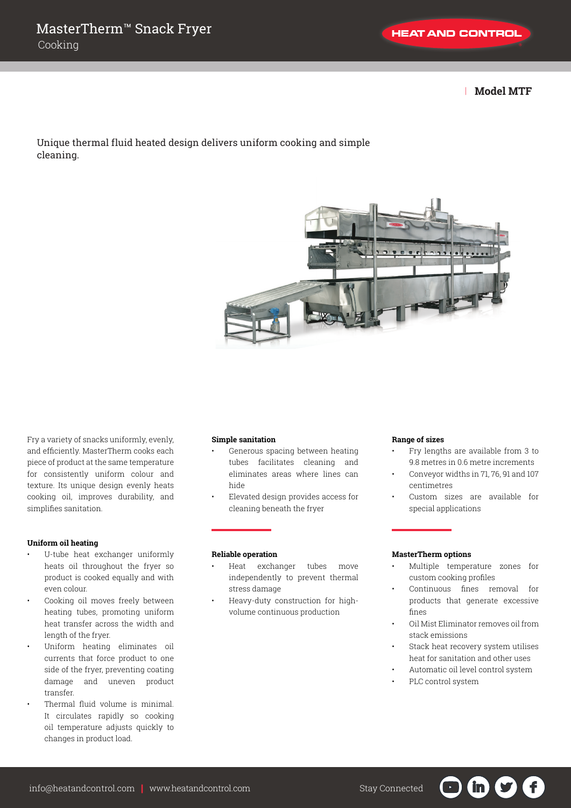| **Model MTF**

Unique thermal fluid heated design delivers uniform cooking and simple cleaning.



Fry a variety of snacks uniformly, evenly, and efficiently. MasterTherm cooks each piece of product at the same temperature for consistently uniform colour and texture. Its unique design evenly heats cooking oil, improves durability, and simplifies sanitation.

### **Uniform oil heating**

- U-tube heat exchanger uniformly heats oil throughout the fryer so product is cooked equally and with even colour.
- Cooking oil moves freely between heating tubes, promoting uniform heat transfer across the width and length of the fryer.
- Uniform heating eliminates oil currents that force product to one side of the fryer, preventing coating damage and uneven product transfer.
- Thermal fluid volume is minimal. It circulates rapidly so cooking oil temperature adjusts quickly to changes in product load.

#### **Simple sanitation**

- Generous spacing between heating tubes facilitates cleaning and eliminates areas where lines can hide
- Elevated design provides access for cleaning beneath the fryer

#### **Reliable operation**

- Heat exchanger tubes move independently to prevent thermal stress damage
- Heavy-duty construction for highvolume continuous production

#### **Range of sizes**

- Fry lengths are available from 3 to 9.8 metres in 0.6 metre increments
- Conveyor widths in 71, 76, 91 and 107 centimetres
- Custom sizes are available for special applications

#### **MasterTherm options**

- Multiple temperature zones for custom cooking profiles
- Continuous fines removal for products that generate excessive fines
- Oil Mist Eliminator removes oil from stack emissions
- Stack heat recovery system utilises heat for sanitation and other uses

in i

- Automatic oil level control system
- PLC control system